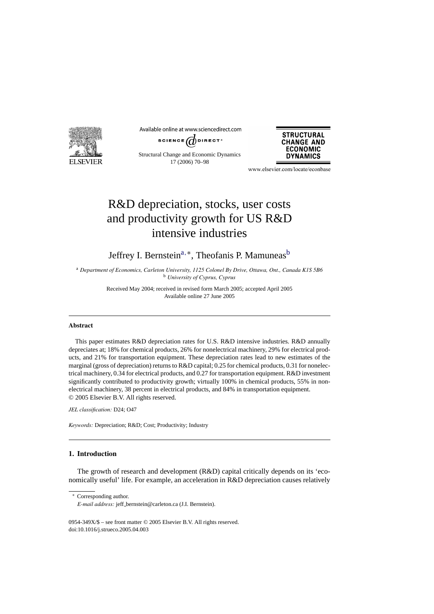

Available online at www sciencedirect com



Structural Change and Economic Dynamics 17 (2006) 70–98



www.elsevier.com/locate/econbase

## R&D depreciation, stocks, user costs and productivity growth for US R&D intensive industries

### Jeffrey I. Bernstein<sup>a,∗</sup>, Theofanis P. Mamuneas<sup>b</sup>

<sup>a</sup> *Department of Economics, Carleton University, 1125 Colonel By Drive, Ottawa, Ont., Canada K1S 5B6* <sup>b</sup> *University of Cyprus, Cyprus*

> Received May 2004; received in revised form March 2005; accepted April 2005 Available online 27 June 2005

#### **Abstract**

This paper estimates R&D depreciation rates for U.S. R&D intensive industries. R&D annually depreciates at; 18% for chemical products, 26% for nonelectrical machinery, 29% for electrical products, and 21% for transportation equipment. These depreciation rates lead to new estimates of the marginal (gross of depreciation) returns to R&D capital; 0.25 for chemical products, 0.31 for nonelectrical machinery, 0.34 for electrical products, and 0.27 for transportation equipment. R&D investment significantly contributed to productivity growth; virtually 100% in chemical products, 55% in nonelectrical machinery, 38 percent in electrical products, and 84% in transportation equipment. © 2005 Elsevier B.V. All rights reserved.

*JEL classification:* D24; O47

*Keywords:* Depreciation; R&D; Cost; Productivity; Industry

#### **1. Introduction**

The growth of research and development  $(R&D)$  capital critically depends on its 'economically useful' life. For example, an acceleration in R&D depreciation causes relatively

∗ Corresponding author.

0954-349X/\$ – see front matter © 2005 Elsevier B.V. All rights reserved. doi:10.1016/j.strueco.2005.04.003

*E-mail address:* jeff bernstein@carleton.ca (J.I. Bernstein).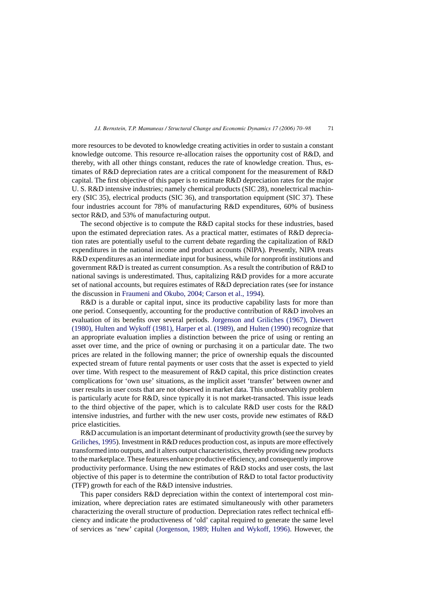more resources to be devoted to knowledge creating activities in order to sustain a constant knowledge outcome. This resource re-allocation raises the opportunity cost of R&D, and thereby, with all other things constant, reduces the rate of knowledge creation. Thus, estimates of R&D depreciation rates are a critical component for the measurement of R&D capital. The first objective of this paper is to estimate  $R&D$  depreciation rates for the major U. S. R&D intensive industries; namely chemical products (SIC 28), nonelectrical machinery (SIC 35), electrical products (SIC 36), and transportation equipment (SIC 37). These four industries account for 78% of manufacturing R&D expenditures, 60% of business sector R&D, and 53% of manufacturing output.

The second objective is to compute the R&D capital stocks for these industries, based upon the estimated depreciation rates. As a practical matter, estimates of R&D depreciation rates are potentially useful to the current debate regarding the capitalization of R&D expenditures in the national income and product accounts (NIPA). Presently, NIPA treats R&D expenditures as an intermediate input for business, while for nonprofit institutions and government R&D is treated as current consumption. As a result the contribution of R&D to national savings is underestimated. Thus, capitalizing R&D provides for a more accurate set of national accounts, but requires estimates of R&D depreciation rates (see for instance the discussion in [Fraumeni and Okubo, 2004; Carson et al., 1994\).](#page--1-0)

R&D is a durable or capital input, since its productive capability lasts for more than one period. Consequently, accounting for the productive contribution of R&D involves an evaluation of its benefits over several periods. [Jorgenson and Griliches](#page--1-0) [\(1967\), Diewert](#page--1-0) [\(1980\), Hulten and Wykoff \(1981\), Harper et al. \(1989\), a](#page--1-0)nd [Hulten \(1990\)](#page--1-0) recognize that an appropriate evaluation implies a distinction between the price of using or renting an asset over time, and the price of owning or purchasing it on a particular date. The two prices are related in the following manner; the price of ownership equals the discounted expected stream of future rental payments or user costs that the asset is expected to yield over time. With respect to the measurement of R&D capital, this price distinction creates complications for 'own use' situations, as the implicit asset 'transfer' between owner and user results in user costs that are not observed in market data. This unobservablity problem is particularly acute for R&D, since typically it is not market-transacted. This issue leads to the third objective of the paper, which is to calculate R&D user costs for the R&D intensive industries, and further with the new user costs, provide new estimates of R&D price elasticities.

R&D accumulation is an important determinant of productivity growth (see the survey by [Griliches, 1995\).](#page--1-0) Investment in R&D reduces production cost, as inputs are more effectively transformed into outputs, and it alters output characteristics, thereby providing new products to the marketplace. These features enhance productive efficiency, and consequently improve productivity performance. Using the new estimates of R&D stocks and user costs, the last objective of this paper is to determine the contribution of R&D to total factor productivity (TFP) growth for each of the R&D intensive industries.

This paper considers R&D depreciation within the context of intertemporal cost minimization, where depreciation rates are estimated simultaneously with other parameters characterizing the overall structure of production. Depreciation rates reflect technical efficiency and indicate the productiveness of 'old' capital required to generate the same level of services as 'new' capital [\(Jorgenson, 1989; Hulten and Wykoff, 1996\).](#page--1-0) However, the